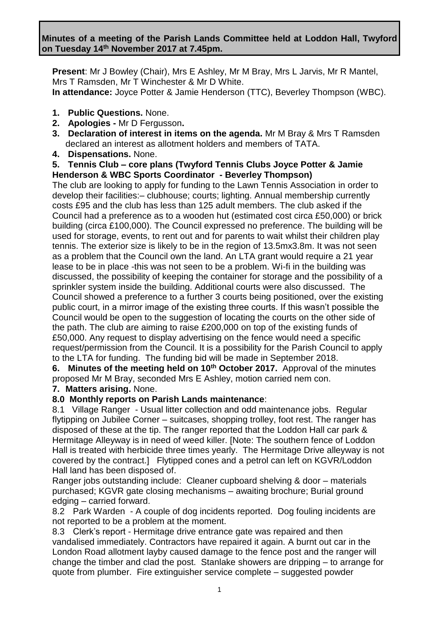**Minutes of a meeting of the Parish Lands Committee held at Loddon Hall, Twyford on Tuesday 14th November 2017 at 7.45pm.**

**Present**: Mr J Bowley (Chair), Mrs E Ashley, Mr M Bray, Mrs L Jarvis, Mr R Mantel, Mrs T Ramsden, Mr T Winchester & Mr D White.

**In attendance:** Joyce Potter & Jamie Henderson (TTC), Beverley Thompson (WBC).

- **1. Public Questions.** None.
- **2. Apologies -** Mr D Fergusson**.**
- **3. Declaration of interest in items on the agenda.** Mr M Bray & Mrs T Ramsden declared an interest as allotment holders and members of TATA.
- **4. Dispensations.** None.
- **5. Tennis Club – core plans (Twyford Tennis Clubs Joyce Potter & Jamie Henderson & WBC Sports Coordinator - Beverley Thompson)**

The club are looking to apply for funding to the Lawn Tennis Association in order to develop their facilities:– clubhouse; courts; lighting. Annual membership currently costs £95 and the club has less than 125 adult members. The club asked if the Council had a preference as to a wooden hut (estimated cost circa £50,000) or brick building (circa £100,000). The Council expressed no preference. The building will be used for storage, events, to rent out and for parents to wait whilst their children play tennis. The exterior size is likely to be in the region of 13.5mx3.8m. It was not seen as a problem that the Council own the land. An LTA grant would require a 21 year lease to be in place -this was not seen to be a problem. Wi-fi in the building was discussed, the possibility of keeping the container for storage and the possibility of a sprinkler system inside the building. Additional courts were also discussed. The Council showed a preference to a further 3 courts being positioned, over the existing public court, in a mirror image of the existing three courts. If this wasn't possible the Council would be open to the suggestion of locating the courts on the other side of the path. The club are aiming to raise £200,000 on top of the existing funds of £50,000. Any request to display advertising on the fence would need a specific request/permission from the Council. It is a possibility for the Parish Council to apply to the LTA for funding. The funding bid will be made in September 2018.

**6. Minutes of the meeting held on 10th October 2017.** Approval of the minutes proposed Mr M Bray, seconded Mrs E Ashley, motion carried nem con.

### **7. Matters arising.** None.

### **8.0 Monthly reports on Parish Lands maintenance**:

8.1 Village Ranger - Usual litter collection and odd maintenance jobs. Regular flytipping on Jubilee Corner – suitcases, shopping trolley, foot rest. The ranger has disposed of these at the tip. The ranger reported that the Loddon Hall car park & Hermitage Alleyway is in need of weed killer. [Note: The southern fence of Loddon Hall is treated with herbicide three times yearly. The Hermitage Drive alleyway is not covered by the contract.] Flytipped cones and a petrol can left on KGVR/Loddon Hall land has been disposed of.

Ranger jobs outstanding include: Cleaner cupboard shelving & door – materials purchased; KGVR gate closing mechanisms – awaiting brochure; Burial ground edging – carried forward.

8.2 Park Warden - A couple of dog incidents reported. Dog fouling incidents are not reported to be a problem at the moment.

8.3 Clerk's report - Hermitage drive entrance gate was repaired and then vandalised immediately. Contractors have repaired it again. A burnt out car in the London Road allotment layby caused damage to the fence post and the ranger will change the timber and clad the post. Stanlake showers are dripping – to arrange for quote from plumber. Fire extinguisher service complete – suggested powder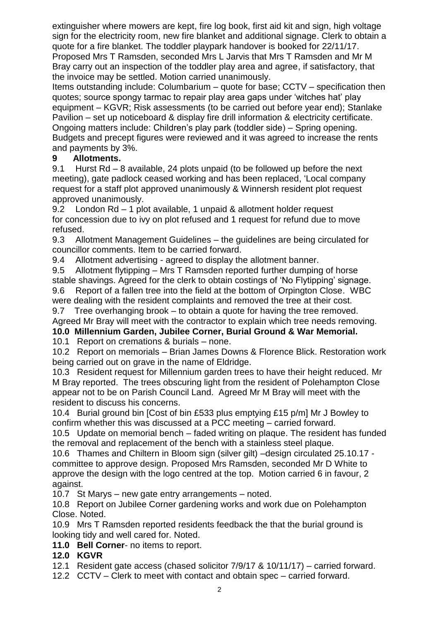extinguisher where mowers are kept, fire log book, first aid kit and sign, high voltage sign for the electricity room, new fire blanket and additional signage. Clerk to obtain a quote for a fire blanket. The toddler playpark handover is booked for 22/11/17. Proposed Mrs T Ramsden, seconded Mrs L Jarvis that Mrs T Ramsden and Mr M Bray carry out an inspection of the toddler play area and agree, if satisfactory, that the invoice may be settled. Motion carried unanimously.

Items outstanding include: Columbarium – quote for base; CCTV – specification then quotes; source spongy tarmac to repair play area gaps under 'witches hat' play equipment – KGVR; Risk assessments (to be carried out before year end); Stanlake Pavilion – set up noticeboard & display fire drill information & electricity certificate. Ongoing matters include: Children's play park (toddler side) – Spring opening. Budgets and precept figures were reviewed and it was agreed to increase the rents and payments by 3%.

# **9 Allotments.**

9.1 Hurst Rd – 8 available, 24 plots unpaid (to be followed up before the next meeting), gate padlock ceased working and has been replaced, 'Local company request for a staff plot approved unanimously & Winnersh resident plot request approved unanimously.

9.2 London Rd – 1 plot available, 1 unpaid & allotment holder request for concession due to ivy on plot refused and 1 request for refund due to move refused.

9.3 Allotment Management Guidelines – the guidelines are being circulated for councillor comments. Item to be carried forward.

9.4 Allotment advertising - agreed to display the allotment banner.

9.5Allotment flytipping – Mrs T Ramsden reported further dumping of horse stable shavings. Agreed for the clerk to obtain costings of 'No Flytipping' signage.

9.6 Report of a fallen tree into the field at the bottom of Orpington Close. WBC were dealing with the resident complaints and removed the tree at their cost.

9.7 Tree overhanging brook – to obtain a quote for having the tree removed. Agreed Mr Bray will meet with the contractor to explain which tree needs removing.

# **10.0 Millennium Garden, Jubilee Corner, Burial Ground & War Memorial.**

10.1 Report on cremations & burials – none.

10.2 Report on memorials – Brian James Downs & Florence Blick. Restoration work being carried out on grave in the name of Eldridge.

10.3 Resident request for Millennium garden trees to have their height reduced. Mr M Bray reported. The trees obscuring light from the resident of Polehampton Close appear not to be on Parish Council Land. Agreed Mr M Bray will meet with the resident to discuss his concerns.

10.4 Burial ground bin [Cost of bin £533 plus emptying £15 p/m] Mr J Bowley to confirm whether this was discussed at a PCC meeting – carried forward.

10.5 Update on memorial bench – faded writing on plaque. The resident has funded the removal and replacement of the bench with a stainless steel plaque.

10.6 Thames and Chiltern in Bloom sign (silver gilt) –design circulated 25.10.17 committee to approve design. Proposed Mrs Ramsden, seconded Mr D White to approve the design with the logo centred at the top. Motion carried 6 in favour, 2 against.

10.7 St Marys – new gate entry arrangements – noted.

10.8 Report on Jubilee Corner gardening works and work due on Polehampton Close. Noted.

10.9 Mrs T Ramsden reported residents feedback the that the burial ground is looking tidy and well cared for. Noted.

**11.0 Bell Corner**- no items to report.

# **12.0 KGVR**

12.1 Resident gate access (chased solicitor 7/9/17 & 10/11/17) – carried forward.

12.2 CCTV – Clerk to meet with contact and obtain spec – carried forward.